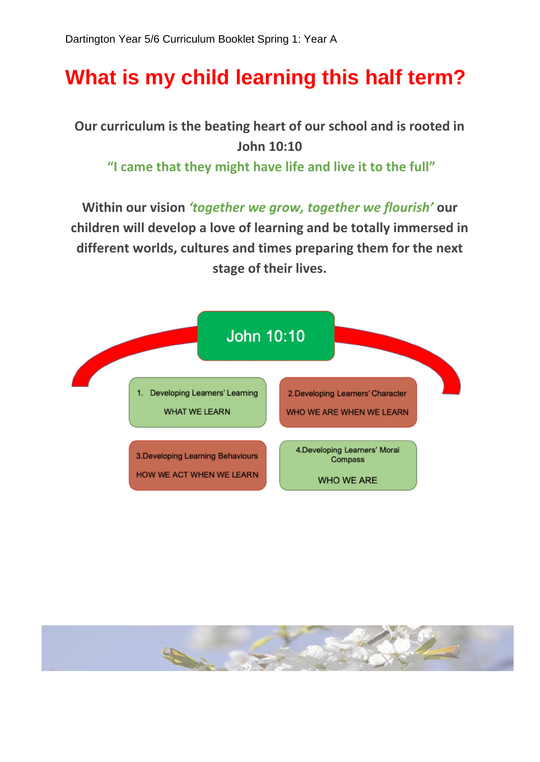## **What is my child learning this half term?**

**Our curriculum is the beating heart of our school and is rooted in John 10:10** 

**"I came that they might have life and live it to the full"**

**Within our vision** *'together we grow, together we flourish'* **our children will develop a love of learning and be totally immersed in different worlds, cultures and times preparing them for the next stage of their lives.**



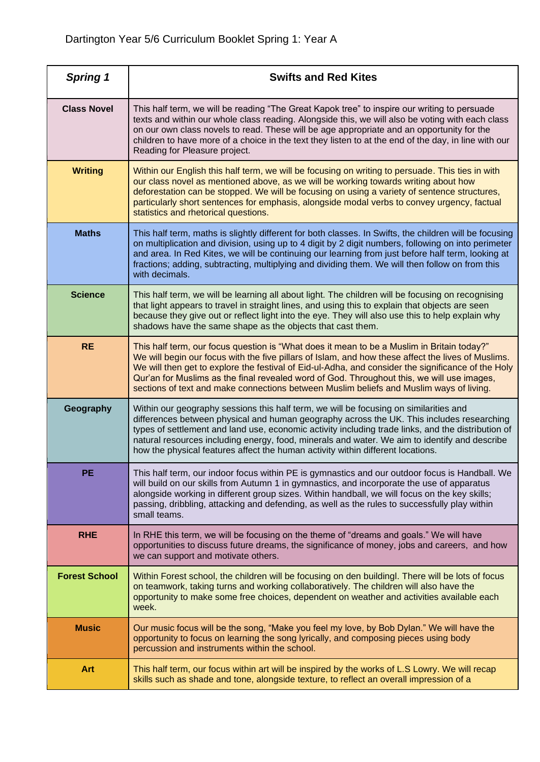| <b>Spring 1</b>      | <b>Swifts and Red Kites</b>                                                                                                                                                                                                                                                                                                                                                                                                                                                                     |
|----------------------|-------------------------------------------------------------------------------------------------------------------------------------------------------------------------------------------------------------------------------------------------------------------------------------------------------------------------------------------------------------------------------------------------------------------------------------------------------------------------------------------------|
| <b>Class Novel</b>   | This half term, we will be reading "The Great Kapok tree" to inspire our writing to persuade<br>texts and within our whole class reading. Alongside this, we will also be voting with each class<br>on our own class novels to read. These will be age appropriate and an opportunity for the<br>children to have more of a choice in the text they listen to at the end of the day, in line with our<br>Reading for Pleasure project.                                                          |
| <b>Writing</b>       | Within our English this half term, we will be focusing on writing to persuade. This ties in with<br>our class novel as mentioned above, as we will be working towards writing about how<br>deforestation can be stopped. We will be focusing on using a variety of sentence structures,<br>particularly short sentences for emphasis, alongside modal verbs to convey urgency, factual<br>statistics and rhetorical questions.                                                                  |
| <b>Maths</b>         | This half term, maths is slightly different for both classes. In Swifts, the children will be focusing<br>on multiplication and division, using up to 4 digit by 2 digit numbers, following on into perimeter<br>and area. In Red Kites, we will be continuing our learning from just before half term, looking at<br>fractions; adding, subtracting, multiplying and dividing them. We will then follow on from this<br>with decimals.                                                         |
| <b>Science</b>       | This half term, we will be learning all about light. The children will be focusing on recognising<br>that light appears to travel in straight lines, and using this to explain that objects are seen<br>because they give out or reflect light into the eye. They will also use this to help explain why<br>shadows have the same shape as the objects that cast them.                                                                                                                          |
| <b>RE</b>            | This half term, our focus question is "What does it mean to be a Muslim in Britain today?"<br>We will begin our focus with the five pillars of Islam, and how these affect the lives of Muslims.<br>We will then get to explore the festival of Eid-ul-Adha, and consider the significance of the Holy<br>Qur'an for Muslims as the final revealed word of God. Throughout this, we will use images,<br>sections of text and make connections between Muslim beliefs and Muslim ways of living. |
| Geography            | Within our geography sessions this half term, we will be focusing on similarities and<br>differences between physical and human geography across the UK. This includes researching<br>types of settlement and land use, economic activity including trade links, and the distribution of<br>natural resources including energy, food, minerals and water. We aim to identify and describe<br>how the physical features affect the human activity within different locations.                    |
| PE                   | This half term, our indoor focus within PE is gymnastics and our outdoor focus is Handball. We<br>will build on our skills from Autumn 1 in gymnastics, and incorporate the use of apparatus<br>alongside working in different group sizes. Within handball, we will focus on the key skills;<br>passing, dribbling, attacking and defending, as well as the rules to successfully play within<br>small teams.                                                                                  |
| <b>RHE</b>           | In RHE this term, we will be focusing on the theme of "dreams and goals." We will have<br>opportunities to discuss future dreams, the significance of money, jobs and careers, and how<br>we can support and motivate others.                                                                                                                                                                                                                                                                   |
| <b>Forest School</b> | Within Forest school, the children will be focusing on den buildingl. There will be lots of focus<br>on teamwork, taking turns and working collaboratively. The children will also have the<br>opportunity to make some free choices, dependent on weather and activities available each<br>week.                                                                                                                                                                                               |
| <b>Music</b>         | Our music focus will be the song, "Make you feel my love, by Bob Dylan." We will have the<br>opportunity to focus on learning the song lyrically, and composing pieces using body<br>percussion and instruments within the school.                                                                                                                                                                                                                                                              |
| <b>Art</b>           | This half term, our focus within art will be inspired by the works of L.S Lowry. We will recap<br>skills such as shade and tone, alongside texture, to reflect an overall impression of a                                                                                                                                                                                                                                                                                                       |